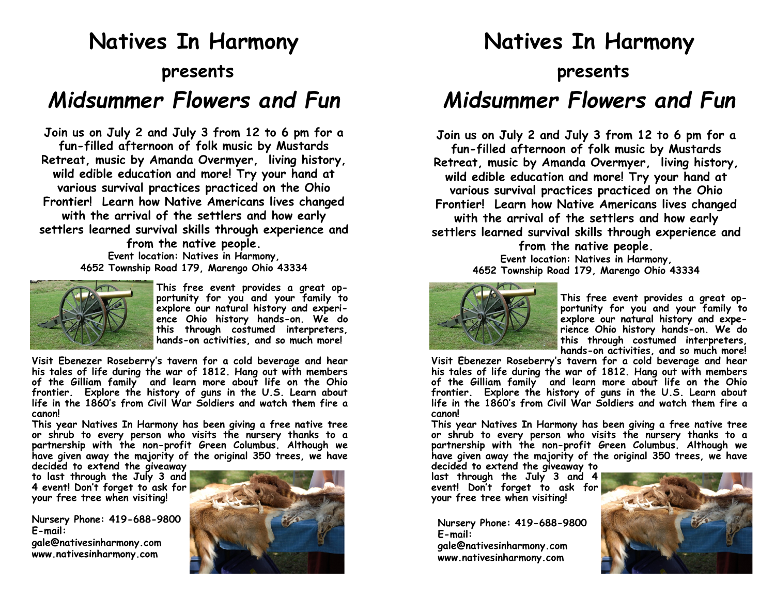# **Natives In Harmony presents**  *Midsummer Flowers and Fun*

**Join us on July 2 and July 3 from 12 to 6 pm for a fun-filled afternoon of folk music by Mustards Retreat, music by Amanda Overmyer, living history, wild edible education and more! Try your hand at various survival practices practiced on the Ohio Frontier! Learn how Native Americans lives changed with the arrival of the settlers and how early settlers learned survival skills through experience and from the native people.** 

**Event location: Natives in Harmony, 4652 Township Road 179, Marengo Ohio 43334**



**This free event provides a great opportunity for you and your family to explore our natural history and experience Ohio history hands-on. We do this through costumed interpreters, hands-on activities, and so much more!**

**Visit Ebenezer Roseberry's tavern for a cold beverage and hear his tales of life during the war of 1812. Hang out with members of the Gilliam family and learn more about life on the Ohio frontier. Explore the history of guns in the U.S. Learn about life in the 1860's from Civil War Soldiers and watch them fire a canon!** 

**This year Natives In Harmony has been giving a free native tree or shrub to every person who visits the nursery thanks to a partnership with the non-profit Green Columbus. Although we have given away the majority of the original 350 trees, we have** 

**decided to extend the giveaway to last through the July 3 and 4 event! Don't forget to ask for your free tree when visiting!**

**Nursery Phone: 419-688-9800 E-mail: gale@nativesinharmony.com www.nativesinharmony.com** 



## **Natives In Harmony presents**  *Midsummer Flowers and Fun*

**Join us on July 2 and July 3 from 12 to 6 pm for a fun-filled afternoon of folk music by Mustards Retreat, music by Amanda Overmyer, living history, wild edible education and more! Try your hand at various survival practices practiced on the Ohio Frontier! Learn how Native Americans lives changed with the arrival of the settlers and how early settlers learned survival skills through experience and from the native people.** 

**Event location: Natives in Harmony, 4652 Township Road 179, Marengo Ohio 43334**



**This free event provides a great opportunity for you and your family to explore our natural history and experience Ohio history hands-on. We do this through costumed interpreters, hands-on activities, and so much more!**

**Visit Ebenezer Roseberry's tavern for a cold beverage and hear his tales of life during the war of 1812. Hang out with members of the Gilliam family and learn more about life on the Ohio frontier. Explore the history of guns in the U.S. Learn about life in the 1860's from Civil War Soldiers and watch them fire a canon!** 

**This year Natives In Harmony has been giving a free native tree or shrub to every person who visits the nursery thanks to a partnership with the non-profit Green Columbus. Although we have given away the majority of the original 350 trees, we have decided to extend the giveaway to** 

**last through the July 3 and 4 event! Don't forget to ask for your free tree when visiting!** 

**Nursery Phone: 419-688-9800 E-mail: gale@nativesinharmony.com www.nativesinharmony.com**